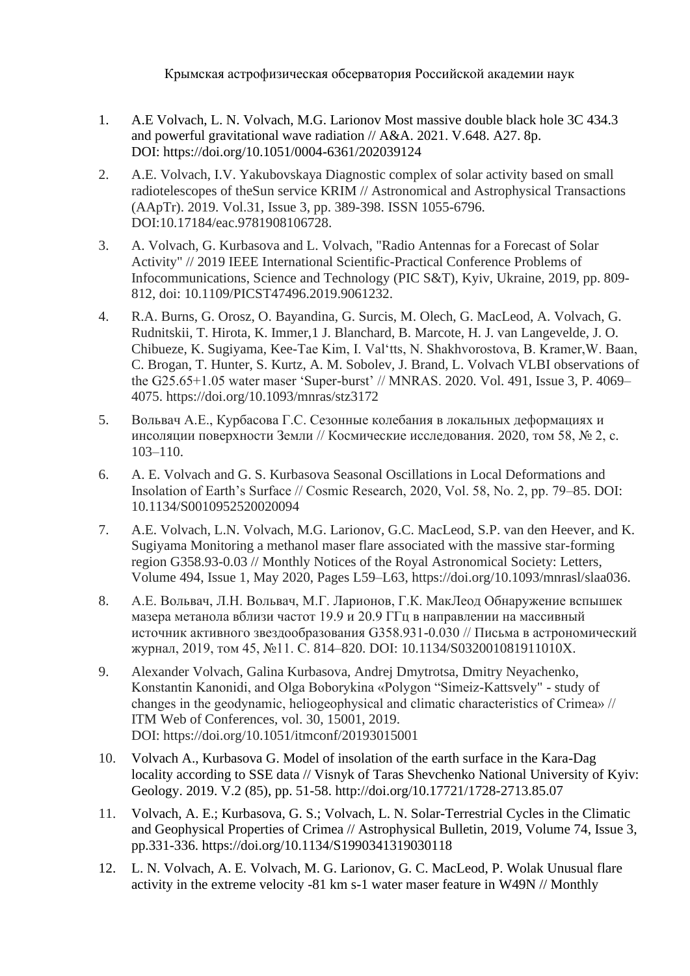Крымская астрофизическая обсерватория Российской академии наук

- 1. A.E Volvach, L. N. Volvach, M.G. Larionov Most massive double black hole 3C 434.3 and powerful gravitational wave radiation // A&A. 2021. V.648. A27. 8p. DOI: https://doi.org/10.1051/0004-6361/202039124
- 2. A.E. Volvach, I.V. Yakubovskaya Diagnostic complex of solar activity based on small radiotelescopes of theSun service KRIM // Astronomical and Astrophysical Transactions (AApTr). 2019. Vol.31, Issue 3, pp. 389-398. ISSN 1055-6796. DOI:10.17184/eac.9781908106728.
- 3. A. Volvach, G. Kurbasova and L. Volvach, "Radio Antennas for a Forecast of Solar Activity" // 2019 IEEE International Scientific-Practical Conference Problems of Infocommunications, Science and Technology (PIC S&T), Kyiv, Ukraine, 2019, pp. 809- 812, doi: 10.1109/PICST47496.2019.9061232.
- 4. R.A. Burns, G. Orosz, O. Bayandina, G. Surcis, M. Olech, G. MacLeod, A. Volvach, G. Rudnitskii, T. Hirota, K. Immer,1 J. Blanchard, B. Marcote, H. J. van Langevelde, J. O. Chibueze, K. Sugiyama, Kee-Tae Kim, I. Val'tts, N. Shakhvorostova, B. Kramer,W. Baan, C. Brogan, T. Hunter, S. Kurtz, A. M. Sobolev, J. Brand, L. Volvach VLBI observations of the G25.65+1.05 water maser 'Super-burst' // MNRAS. 2020. Vol. 491, Issue 3, P. 4069– 4075. https://doi.org/10.1093/mnras/stz3172
- 5. Вольвач А.Е., Курбасова Г.С. Сезонные колебания в локальных деформациях и инсоляции поверхности Земли // Космические исследования. 2020, том 58, № 2, с. 103–110.
- 6. A. E. Volvach and G. S. Kurbasova Seasonal Oscillations in Local Deformations and Insolation of Earth's Surface // Cosmic Research, 2020, Vol. 58, No. 2, pp. 79–85. DOI: 10.1134/S0010952520020094
- 7. A.E. Volvach, L.N. Volvach, M.G. Larionov, G.C. MacLeod, S.P. van den Heever, and K. Sugiyama Monitoring a methanol maser flare associated with the massive star-forming region G358.93-0.03 // Monthly Notices of the Royal Astronomical Society: Letters, Volume 494, Issue 1, May 2020, Pages L59–L63, https://doi.org/10.1093/mnrasl/slaa036.
- 8. А.Е. Вольвач, Л.Н. Вольвач, М.Г. Ларионов, Г.К. МакЛеод Обнаружение вспышек мазера метанола вблизи частот 19.9 и 20.9 ГГц в направлении на массивный источник активного звездообразования G358.931-0.030 // Письма в астрономический журнал, 2019, том 45, №11. С. 814–820. DOI: 10.1134/S032001081911010X.
- 9. Alexander Volvach, Galina Kurbasova, Andrej Dmytrotsa, Dmitry Neyachenko, Konstantin Kanonidi, and Olga Boborykina «Polygon "Simeiz-Kattsvely" - study of changes in the geodynamic, heliogeophysical and climatic characteristics of Crimea» // ITM Web of Conferences, vol. 30, 15001, 2019. DOI: https://doi.org/10.1051/itmconf/20193015001
- 10. Volvach A., Kurbasova G. Model of insolation of the earth surface in the Kara-Dag locality according to SSE data // Visnyk of Taras Shevchenko National University of Kyiv: Geology. 2019. V.2 (85), pp. 51-58. http://doi.org/10.17721/1728-2713.85.07
- 11. Volvach, A. E.; Kurbasova, G. S.; Volvach, L. N. Solar-Terrestrial Cycles in the Climatic and Geophysical Properties of Crimea // Astrophysical Bulletin, 2019, Volume 74, Issue 3, pp.331-336. https://doi.org/10.1134/S1990341319030118
- 12. L. N. Volvach, A. E. Volvach, M. G. Larionov, G. C. MacLeod, P. Wolak Unusual flare activity in the extreme velocity -81 km s-1 water maser feature in W49N // Monthly